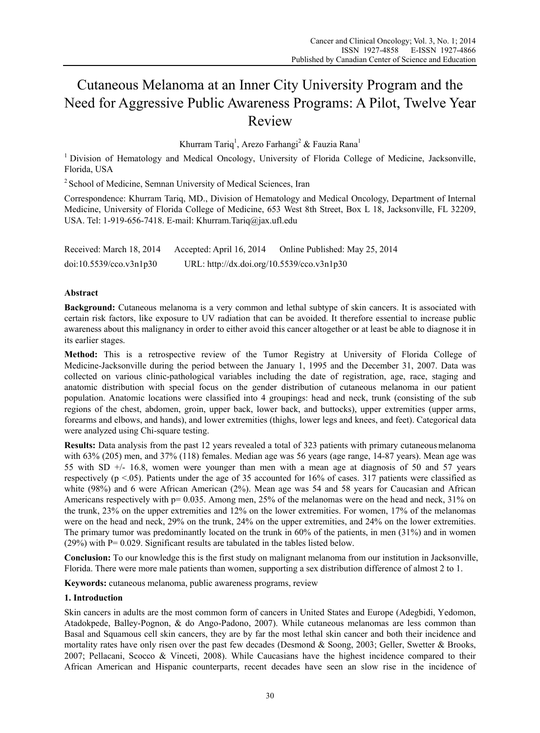# Cutaneous Melanoma at an Inner City University Program and the Need for Aggressive Public Awareness Programs: A Pilot, Twelve Year Review

Khurram Tariq<sup>1</sup>, Arezo Farhangi<sup>2</sup> & Fauzia Rana<sup>1</sup>

<sup>1</sup> Division of Hematology and Medical Oncology, University of Florida College of Medicine, Jacksonville, Florida, USA

2 School of Medicine, Semnan University of Medical Sciences, Iran

Correspondence: Khurram Tariq, MD., Division of Hematology and Medical Oncology, Department of Internal Medicine, University of Florida College of Medicine, 653 West 8th Street, Box L 18, Jacksonville, FL 32209, USA. Tel: 1-919-656-7418. E-mail: Khurram.Tariq@jax.ufl.edu

Received: March 18, 2014 Accepted: April 16, 2014 Online Published: May 25, 2014 doi:10.5539/cco.v3n1p30 URL: http://dx.doi.org/10.5539/cco.v3n1p30

## **Abstract**

**Background:** Cutaneous melanoma is a very common and lethal subtype of skin cancers. It is associated with certain risk factors, like exposure to UV radiation that can be avoided. It therefore essential to increase public awareness about this malignancy in order to either avoid this cancer altogether or at least be able to diagnose it in its earlier stages.

**Method:** This is a retrospective review of the Tumor Registry at University of Florida College of Medicine-Jacksonville during the period between the January 1, 1995 and the December 31, 2007. Data was collected on various clinic-pathological variables including the date of registration, age, race, staging and anatomic distribution with special focus on the gender distribution of cutaneous melanoma in our patient population. Anatomic locations were classified into 4 groupings: head and neck, trunk (consisting of the sub regions of the chest, abdomen, groin, upper back, lower back, and buttocks), upper extremities (upper arms, forearms and elbows, and hands), and lower extremities (thighs, lower legs and knees, and feet). Categorical data were analyzed using Chi-square testing.

**Results:** Data analysis from the past 12 years revealed a total of 323 patients with primary cutaneous melanoma with 63% (205) men, and 37% (118) females. Median age was 56 years (age range, 14-87 years). Mean age was 55 with SD +/- 16.8, women were younger than men with a mean age at diagnosis of 50 and 57 years respectively (p  $\leq$  0.05). Patients under the age of 35 accounted for 16% of cases. 317 patients were classified as white (98%) and 6 were African American (2%). Mean age was 54 and 58 years for Caucasian and African Americans respectively with  $p = 0.035$ . Among men, 25% of the melanomas were on the head and neck, 31% on the trunk, 23% on the upper extremities and 12% on the lower extremities. For women, 17% of the melanomas were on the head and neck, 29% on the trunk, 24% on the upper extremities, and 24% on the lower extremities. The primary tumor was predominantly located on the trunk in 60% of the patients, in men (31%) and in women  $(29%)$  with P= 0.029. Significant results are tabulated in the tables listed below.

**Conclusion:** To our knowledge this is the first study on malignant melanoma from our institution in Jacksonville, Florida. There were more male patients than women, supporting a sex distribution difference of almost 2 to 1.

**Keywords:** cutaneous melanoma, public awareness programs, review

## **1. Introduction**

Skin cancers in adults are the most common form of cancers in United States and Europe (Adegbidi, Yedomon, Atadokpede, Balley-Pognon, & do Ango-Padono, 2007). While cutaneous melanomas are less common than Basal and Squamous cell skin cancers, they are by far the most lethal skin cancer and both their incidence and mortality rates have only risen over the past few decades (Desmond & Soong, 2003; Geller, Swetter & Brooks, 2007; Pellacani, Scocco & Vinceti, 2008). While Caucasians have the highest incidence compared to their African American and Hispanic counterparts, recent decades have seen an slow rise in the incidence of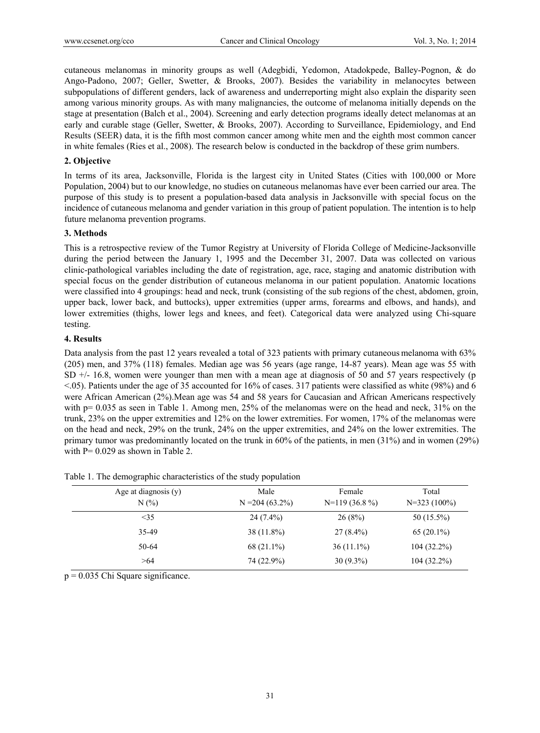cutaneous melanomas in minority groups as well (Adegbidi, Yedomon, Atadokpede, Balley-Pognon, & do Ango-Padono, 2007; Geller, Swetter, & Brooks, 2007). Besides the variability in melanocytes between subpopulations of different genders, lack of awareness and underreporting might also explain the disparity seen among various minority groups. As with many malignancies, the outcome of melanoma initially depends on the stage at presentation (Balch et al., 2004). Screening and early detection programs ideally detect melanomas at an early and curable stage (Geller, Swetter, & Brooks, 2007). According to Surveillance, Epidemiology, and End Results (SEER) data, it is the fifth most common cancer among white men and the eighth most common cancer in white females (Ries et al., 2008). The research below is conducted in the backdrop of these grim numbers.

## **2. Objective**

In terms of its area, Jacksonville, Florida is the largest city in United States (Cities with 100,000 or More Population, 2004) but to our knowledge, no studies on cutaneous melanomas have ever been carried our area. The purpose of this study is to present a population-based data analysis in Jacksonville with special focus on the incidence of cutaneous melanoma and gender variation in this group of patient population. The intention is to help future melanoma prevention programs.

## **3. Methods**

This is a retrospective review of the Tumor Registry at University of Florida College of Medicine-Jacksonville during the period between the January 1, 1995 and the December 31, 2007. Data was collected on various clinic-pathological variables including the date of registration, age, race, staging and anatomic distribution with special focus on the gender distribution of cutaneous melanoma in our patient population. Anatomic locations were classified into 4 groupings: head and neck, trunk (consisting of the sub regions of the chest, abdomen, groin, upper back, lower back, and buttocks), upper extremities (upper arms, forearms and elbows, and hands), and lower extremities (thighs, lower legs and knees, and feet). Categorical data were analyzed using Chi-square testing.

## **4. Results**

Data analysis from the past 12 years revealed a total of 323 patients with primary cutaneous melanoma with 63% (205) men, and 37% (118) females. Median age was 56 years (age range, 14-87 years). Mean age was 55 with SD +/- 16.8, women were younger than men with a mean age at diagnosis of 50 and 57 years respectively (p  $\leq$ .05). Patients under the age of 35 accounted for 16% of cases. 317 patients were classified as white (98%) and 6 were African American (2%). Mean age was 54 and 58 years for Caucasian and African Americans respectively with  $p= 0.035$  as seen in Table 1. Among men, 25% of the melanomas were on the head and neck, 31% on the trunk, 23% on the upper extremities and 12% on the lower extremities. For women, 17% of the melanomas were on the head and neck, 29% on the trunk, 24% on the upper extremities, and 24% on the lower extremities. The primary tumor was predominantly located on the trunk in 60% of the patients, in men (31%) and in women (29%) with  $P = 0.029$  as shown in Table 2.

| Age at diagnosis (y)<br>$N(\%)$ | Male<br>$N = 204(63.2\%)$ | Female<br>$N=119(36.8\%)$ | Total<br>$N=323(100\%)$ |
|---------------------------------|---------------------------|---------------------------|-------------------------|
| $\leq$ 35                       | $24(7.4\%)$               | 26(8%)                    | $50(15.5\%)$            |
| 35-49                           | $38(11.8\%)$              | $27(8.4\%)$               | $65(20.1\%)$            |
| 50-64                           | 68 (21.1%)                | $36(11.1\%)$              | $104(32.2\%)$           |
| >64                             | 74 (22.9%)                | $30(9.3\%)$               | $104(32.2\%)$           |

Table 1. The demographic characteristics of the study population

 $p = 0.035$  Chi Square significance.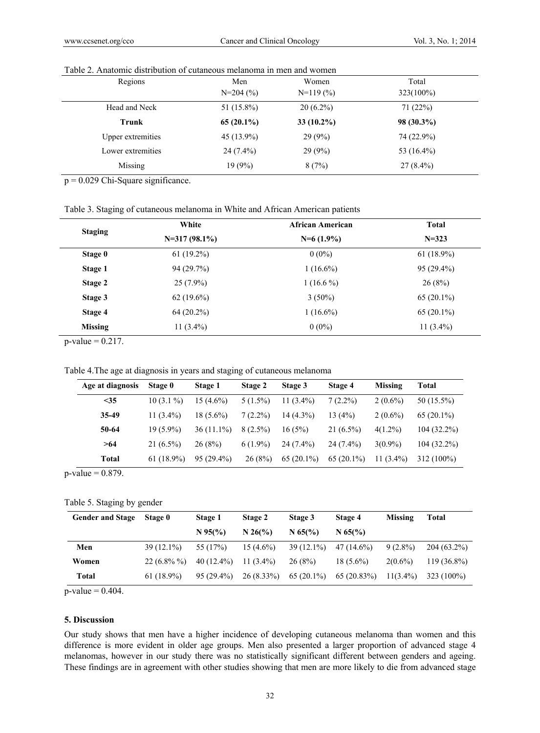| Regions                  | Men           | Women         | Total         |
|--------------------------|---------------|---------------|---------------|
|                          | $N=204(%)$    | $N=119(%$     | 323(100%)     |
| Head and Neck            | 51 $(15.8\%)$ | $20(6.2\%)$   | 71(22%)       |
| Trunk                    | $65(20.1\%)$  | 33 $(10.2\%)$ | $98(30.3\%)$  |
| <b>Upper extremities</b> | $45(13.9\%)$  | 29(9%)        | 74 (22.9%)    |
| Lower extremities        | $24(7.4\%)$   | 29(9%)        | 53 $(16.4\%)$ |
| Missing                  | 19(9%)        | 8(7%)         | $27(8.4\%)$   |

# Table 2. Anatomic distribution of cutaneous melanoma in men and women

p = 0.029 Chi-Square significance.

Table 3. Staging of cutaneous melanoma in White and African American patients

| <b>Staging</b> | White           | <b>African American</b> | <b>Total</b> |  |
|----------------|-----------------|-------------------------|--------------|--|
|                | $N=317(98.1\%)$ | $N=6(1.9\%)$            | $N = 323$    |  |
| Stage 0        | $61(19.2\%)$    | $0(0\%)$                | $61(18.9\%)$ |  |
| Stage 1        | 94(29.7%)       | $1(16.6\%)$             | $95(29.4\%)$ |  |
| Stage 2        | $25(7.9\%)$     | $1(16.6\%)$             | 26(8%)       |  |
| Stage 3        | $62(19.6\%)$    | $3(50\%)$               | $65(20.1\%)$ |  |
| Stage 4        | $64(20.2\%)$    | $1(16.6\%)$             | $65(20.1\%)$ |  |
| <b>Missing</b> | 11 $(3.4\%)$    | $0(0\%)$                | $11(3.4\%)$  |  |

 $p$ -value = 0.217.

Table 4.The age at diagnosis in years and staging of cutaneous melanoma

| Age at diagnosis | Stage 0      | Stage 1      | Stage 2    | Stage 3      | Stage 4      | Missing      | Total         |
|------------------|--------------|--------------|------------|--------------|--------------|--------------|---------------|
| $35$             | $10(3.1\%)$  | $15(4.6\%)$  | $5(1.5\%)$ | 11 $(3.4\%)$ | $7(2.2\%)$   | $2(0.6\%)$   | 50 (15.5%)    |
| 35-49            | 11 $(3.4\%)$ | $18(5.6\%)$  | $7(2.2\%)$ | $14(4.3\%)$  | 13(4%)       | $2(0.6\%)$   | $65(20.1\%)$  |
| 50-64            | $19(5.9\%)$  | $36(11.1\%)$ | $8(2.5\%)$ | 16(5%)       | $21(6.5\%)$  | $4(1.2\%)$   | $104(32.2\%)$ |
| >64              | $21(6.5\%)$  | 26(8%)       | $6(1.9\%)$ | $24(7.4\%)$  | $24(7.4\%)$  | $3(0.9\%)$   | $104(32.2\%)$ |
| Total            | $61(18.9\%)$ | $95(29.4\%)$ | 26(8%)     | $65(20.1\%)$ | $65(20.1\%)$ | 11 $(3.4\%)$ | 312 (100%)    |

 $p$ -value = 0.879.

### Table 5. Staging by gender

| <b>Gender and Stage</b> | <b>Stage 0</b> | Stage 1                   | Stage 2      | Stage 3      | Stage 4                   | Missing     | Total         |
|-------------------------|----------------|---------------------------|--------------|--------------|---------------------------|-------------|---------------|
|                         |                | $N$ 95(%)                 | N 26(%)      | $N$ 65(%)    | $N$ 65(%)                 |             |               |
| Men                     | $39(12.1\%)$   | 55 (17%)                  | $15(4.6\%)$  |              | $39(12.1\%)$ $47(14.6\%)$ | $9(2.8\%)$  | $204(63.2\%)$ |
| Women                   | $22(6.8\% \%)$ | $40(12.4\%)$ 11 $(3.4\%)$ |              | 26(8%)       | $18(5.6\%)$               | $2(0.6\%)$  | $119(36.8\%)$ |
| Total                   | $61(18.9\%)$   | $95(29.4\%)$              | $26(8.33\%)$ | $65(20.1\%)$ | 65 (20.83%)               | $11(3.4\%)$ | 323 (100%)    |

 $p$ -value = 0.404.

# **5. Discussion**

Our study shows that men have a higher incidence of developing cutaneous melanoma than women and this difference is more evident in older age groups. Men also presented a larger proportion of advanced stage 4 melanomas, however in our study there was no statistically significant different between genders and ageing. These findings are in agreement with other studies showing that men are more likely to die from advanced stage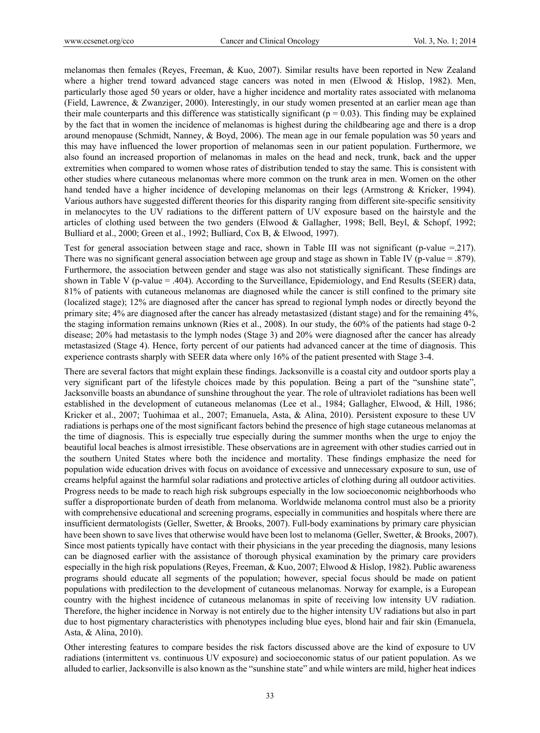melanomas then females (Reyes, Freeman, & Kuo, 2007). Similar results have been reported in New Zealand where a higher trend toward advanced stage cancers was noted in men (Elwood & Hislop, 1982). Men, particularly those aged 50 years or older, have a higher incidence and mortality rates associated with melanoma (Field, Lawrence, & Zwanziger, 2000). Interestingly, in our study women presented at an earlier mean age than their male counterparts and this difference was statistically significant ( $p = 0.03$ ). This finding may be explained by the fact that in women the incidence of melanomas is highest during the childbearing age and there is a drop around menopause (Schmidt, Nanney, & Boyd, 2006). The mean age in our female population was 50 years and this may have influenced the lower proportion of melanomas seen in our patient population. Furthermore, we also found an increased proportion of melanomas in males on the head and neck, trunk, back and the upper extremities when compared to women whose rates of distribution tended to stay the same. This is consistent with other studies where cutaneous melanomas where more common on the trunk area in men. Women on the other hand tended have a higher incidence of developing melanomas on their legs (Armstrong & Kricker, 1994). Various authors have suggested different theories for this disparity ranging from different site-specific sensitivity in melanocytes to the UV radiations to the different pattern of UV exposure based on the hairstyle and the articles of clothing used between the two genders (Elwood & Gallagher, 1998; Bell, Beyl, & Schopf, 1992; Bulliard et al., 2000; Green et al., 1992; Bulliard, Cox B, & Elwood, 1997).

Test for general association between stage and race, shown in Table III was not significant (p-value =.217). There was no significant general association between age group and stage as shown in Table IV (p-value = .879). Furthermore, the association between gender and stage was also not statistically significant. These findings are shown in Table V (p-value = .404). According to the Surveillance, Epidemiology, and End Results (SEER) data, 81% of patients with cutaneous melanomas are diagnosed while the cancer is still confined to the primary site (localized stage); 12% are diagnosed after the cancer has spread to regional lymph nodes or directly beyond the primary site; 4% are diagnosed after the cancer has already metastasized (distant stage) and for the remaining 4%, the staging information remains unknown (Ries et al., 2008). In our study, the 60% of the patients had stage 0-2 disease; 20% had metastasis to the lymph nodes (Stage 3) and 20% were diagnosed after the cancer has already metastasized (Stage 4). Hence, forty percent of our patients had advanced cancer at the time of diagnosis. This experience contrasts sharply with SEER data where only 16% of the patient presented with Stage 3-4.

There are several factors that might explain these findings. Jacksonville is a coastal city and outdoor sports play a very significant part of the lifestyle choices made by this population. Being a part of the "sunshine state", Jacksonville boasts an abundance of sunshine throughout the year. The role of ultraviolet radiations has been well established in the development of cutaneous melanomas (Lee et al., 1984; Gallagher, Elwood, & Hill, 1986; Kricker et al., 2007; Tuohimaa et al., 2007; Emanuela, Asta, & Alina, 2010). Persistent exposure to these UV radiations is perhaps one of the most significant factors behind the presence of high stage cutaneous melanomas at the time of diagnosis. This is especially true especially during the summer months when the urge to enjoy the beautiful local beaches is almost irresistible. These observations are in agreement with other studies carried out in the southern United States where both the incidence and mortality. These findings emphasize the need for population wide education drives with focus on avoidance of excessive and unnecessary exposure to sun, use of creams helpful against the harmful solar radiations and protective articles of clothing during all outdoor activities. Progress needs to be made to reach high risk subgroups especially in the low socioeconomic neighborhoods who suffer a disproportionate burden of death from melanoma. Worldwide melanoma control must also be a priority with comprehensive educational and screening programs, especially in communities and hospitals where there are insufficient dermatologists (Geller, Swetter, & Brooks, 2007). Full-body examinations by primary care physician have been shown to save lives that otherwise would have been lost to melanoma (Geller, Swetter, & Brooks, 2007). Since most patients typically have contact with their physicians in the year preceding the diagnosis, many lesions can be diagnosed earlier with the assistance of thorough physical examination by the primary care providers especially in the high risk populations (Reyes, Freeman, & Kuo, 2007; Elwood & Hislop, 1982). Public awareness programs should educate all segments of the population; however, special focus should be made on patient populations with predilection to the development of cutaneous melanomas. Norway for example, is a European country with the highest incidence of cutaneous melanomas in spite of receiving low intensity UV radiation. Therefore, the higher incidence in Norway is not entirely due to the higher intensity UV radiations but also in part due to host pigmentary characteristics with phenotypes including blue eyes, blond hair and fair skin (Emanuela, Asta, & Alina, 2010).

Other interesting features to compare besides the risk factors discussed above are the kind of exposure to UV radiations (intermittent vs. continuous UV exposure) and socioeconomic status of our patient population. As we alluded to earlier, Jacksonville is also known as the "sunshine state" and while winters are mild, higher heat indices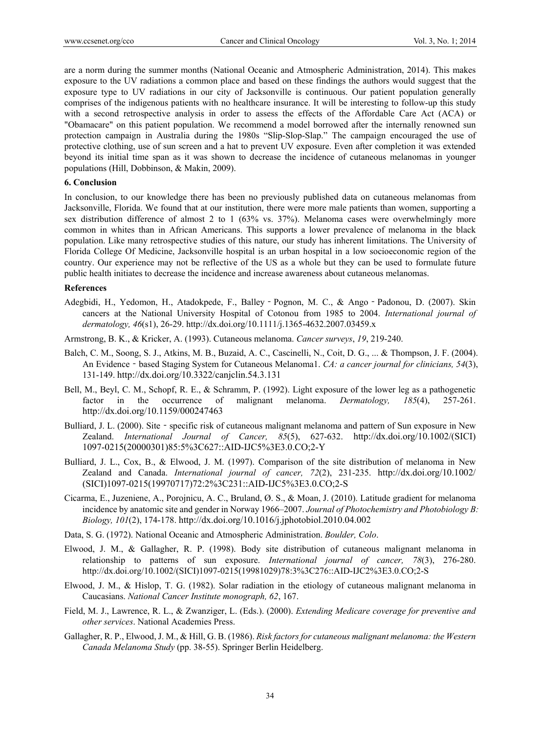are a norm during the summer months (National Oceanic and Atmospheric Administration, 2014). This makes exposure to the UV radiations a common place and based on these findings the authors would suggest that the exposure type to UV radiations in our city of Jacksonville is continuous. Our patient population generally comprises of the indigenous patients with no healthcare insurance. It will be interesting to follow-up this study with a second retrospective analysis in order to assess the effects of the Affordable Care Act (ACA) or "Obamacare" on this patient population. We recommend a model borrowed after the internally renowned sun protection campaign in Australia during the 1980s "Slip-Slop-Slap." The campaign encouraged the use of protective clothing, use of sun screen and a hat to prevent UV exposure. Even after completion it was extended beyond its initial time span as it was shown to decrease the incidence of cutaneous melanomas in younger populations (Hill, Dobbinson, & Makin, 2009).

## **6. Conclusion**

In conclusion, to our knowledge there has been no previously published data on cutaneous melanomas from Jacksonville, Florida. We found that at our institution, there were more male patients than women, supporting a sex distribution difference of almost 2 to 1 (63% vs. 37%). Melanoma cases were overwhelmingly more common in whites than in African Americans. This supports a lower prevalence of melanoma in the black population. Like many retrospective studies of this nature, our study has inherent limitations. The University of Florida College Of Medicine, Jacksonville hospital is an urban hospital in a low socioeconomic region of the country. Our experience may not be reflective of the US as a whole but they can be used to formulate future public health initiates to decrease the incidence and increase awareness about cutaneous melanomas.

#### **References**

Adegbidi, H., Yedomon, H., Atadokpede, F., Balley‐Pognon, M. C., & Ango‐Padonou, D. (2007). Skin cancers at the National University Hospital of Cotonou from 1985 to 2004. *International journal of dermatology, 46*(s1), 26-29. http://dx.doi.org/10.1111/j.1365-4632.2007.03459.x

Armstrong, B. K., & Kricker, A. (1993). Cutaneous melanoma. *Cancer surveys*, *19*, 219-240.

- Balch, C. M., Soong, S. J., Atkins, M. B., Buzaid, A. C., Cascinelli, N., Coit, D. G., ... & Thompson, J. F. (2004). An Evidence‐based Staging System for Cutaneous Melanoma1. *CA: a cancer journal for clinicians, 54*(3), 131-149. http://dx.doi.org/10.3322/canjclin.54.3.131
- Bell, M., Beyl, C. M., Schopf, R. E., & Schramm, P. (1992). Light exposure of the lower leg as a pathogenetic factor in the occurrence of malignant melanoma. *Dermatology, 185*(4), 257-261. http://dx.doi.org/10.1159/000247463
- Bulliard, J. L. (2000). Site specific risk of cutaneous malignant melanoma and pattern of Sun exposure in New Zealand. *International Journal of Cancer, 85*(5), 627-632. http://dx.doi.org/10.1002/(SICI) 1097-0215(20000301)85:5%3C627::AID-IJC5%3E3.0.CO;2-Y
- Bulliard, J. L., Cox, B., & Elwood, J. M. (1997). Comparison of the site distribution of melanoma in New Zealand and Canada. *International journal of cancer, 72*(2), 231-235. http://dx.doi.org/10.1002/ (SICI)1097-0215(19970717)72:2%3C231::AID-IJC5%3E3.0.CO;2-S
- Cicarma, E., Juzeniene, A., Porojnicu, A. C., Bruland, Ø. S., & Moan, J. (2010). Latitude gradient for melanoma incidence by anatomic site and gender in Norway 1966–2007. *Journal of Photochemistry and Photobiology B: Biology, 101*(2), 174-178. http://dx.doi.org/10.1016/j.jphotobiol.2010.04.002
- Data, S. G. (1972). National Oceanic and Atmospheric Administration. *Boulder, Colo*.
- Elwood, J. M., & Gallagher, R. P. (1998). Body site distribution of cutaneous malignant melanoma in relationship to patterns of sun exposure. *International journal of cancer, 78*(3), 276-280. http://dx.doi.org/10.1002/(SICI)1097-0215(19981029)78:3%3C276::AID-IJC2%3E3.0.CO;2-S
- Elwood, J. M., & Hislop, T. G. (1982). Solar radiation in the etiology of cutaneous malignant melanoma in Caucasians. *National Cancer Institute monograph, 62*, 167.
- Field, M. J., Lawrence, R. L., & Zwanziger, L. (Eds.). (2000). *Extending Medicare coverage for preventive and other services*. National Academies Press.
- Gallagher, R. P., Elwood, J. M., & Hill, G. B. (1986). *Risk factors for cutaneous malignant melanoma: the Western Canada Melanoma Study* (pp. 38-55). Springer Berlin Heidelberg.